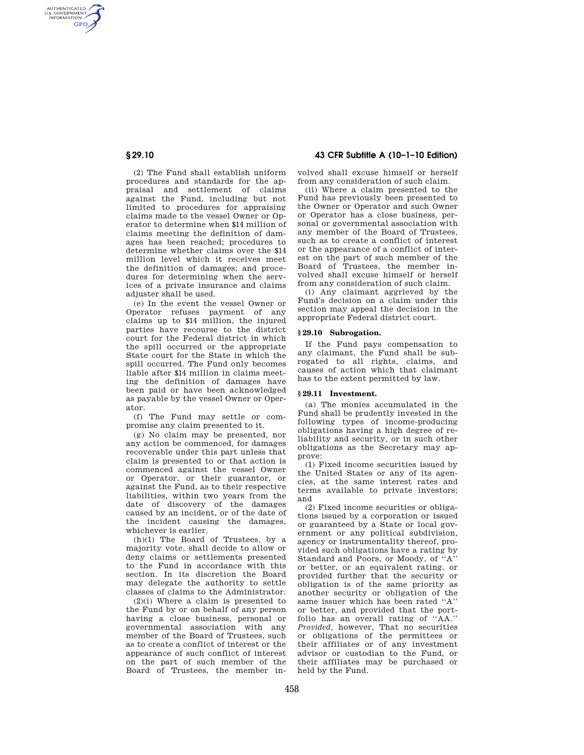AUTHENTICATED<br>U.S. GOVERNMENT<br>INFORMATION **GPO** 

> (2) The Fund shall establish uniform procedures and standards for the appraisal and settlement of claims against the Fund, including but not limited to procedures for appraising claims made to the vessel Owner or Operator to determine when \$14 million of claims meeting the definition of damages has been reached; procedures to determine whether claims over the \$14 million level which it receives meet the definition of damages; and procedures for determining when the services of a private insurance and claims adjuster shall be used.

> (e) In the event the vessel Owner or Operator refuses payment of any claims up to \$14 million, the injured parties have recourse to the district court for the Federal district in which the spill occurred or the appropriate State court for the State in which the spill occurred. The Fund only becomes liable after \$14 million in claims meeting the definition of damages have been paid or have been acknowledged as payable by the vessel Owner or Operator.

(f) The Fund may settle or compromise any claim presented to it.

(g) No claim may be presented, nor any action be commenced, for damages recoverable under this part unless that claim is presented to or that action is commenced against the vessel Owner or Operator, or their guarantor, or against the Fund, as to their respective liabilities, within two years from the date of discovery of the damages caused by an incident, or of the date of the incident causing the damages, whichever is earlier.

(h)(1) The Board of Trustees, by a majority vote, shall decide to allow or deny claims or settlements presented to the Fund in accordance with this section. In its discretion the Board may delegate the authority to settle classes of claims to the Administrator.

(2)(i) Where a claim is presented to the Fund by or on behalf of any person having a close business, personal or governmental association with any member of the Board of Trustees, such as to create a conflict of interest or the appearance of such conflict of interest on the part of such member of the Board of Trustees, the member in-

# **§ 29.10 43 CFR Subtitle A (10–1–10 Edition)**

volved shall excuse himself or herself from any consideration of such claim.

(ii) Where a claim presented to the Fund has previously been presented to the Owner or Operator and such Owner or Operator has a close business, personal or governmental association with any member of the Board of Trustees, such as to create a conflict of interest or the appearance of a conflict of interest on the part of such member of the Board of Trustees, the member involved shall excuse himself or herself from any consideration of such claim.

(i) Any claimant aggrieved by the Fund's decision on a claim under this section may appeal the decision in the appropriate Federal district court.

## **§ 29.10 Subrogation.**

If the Fund pays compensation to any claimant, the Fund shall be subrogated to all rights, claims, and causes of action which that claimant has to the extent permitted by law.

### **§ 29.11 Investment.**

(a) The monies accumulated in the Fund shall be prudently invested in the following types of income-producing obligations having a high degree of reliability and security, or in such other obligations as the Secretary may approve:

(1) Fixed income securities issued by the United States or any of its agencies, at the same interest rates and terms available to private investors; and

(2) Fixed income securities or obligations issued by a corporation or issued or guaranteed by a State or local government or any political subdivision, agency or instrumentality thereof, provided such obligations have a rating by Standard and Poors, or Moody, of ''A'' or better, or an equivalent rating, or provided further that the security or obligation is of the same priority as another security or obligation of the same issuer which has been rated ''A'' or better, and provided that the portfolio has an overall rating of ''AA.'' *Provided,* however, That no securities or obligations of the permittees or their affiliates or of any investment advisor or custodian to the Fund, or their affiliates may be purchased or held by the Fund.